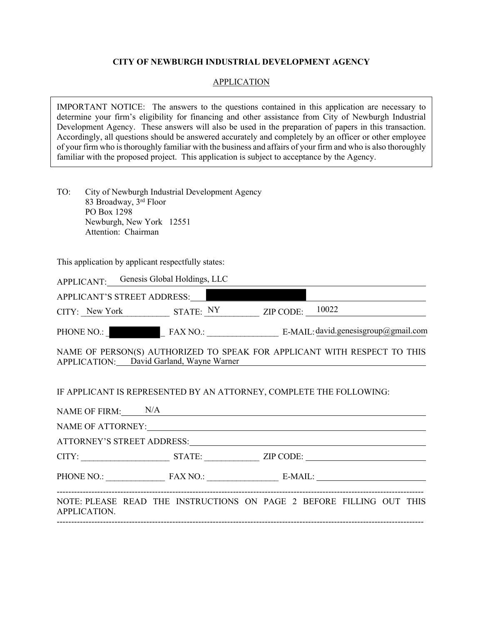#### **CITY OF NEWBURGH INDUSTRIAL DEVELOPMENT AGENCY**

#### **APPLICATION**

IMPORTANT NOTICE: The answers to the questions contained in this application are necessary to determine your firm's eligibility for financing and other assistance from City of Newburgh Industrial Development Agency. These answers will also be used in the preparation of papers in this transaction. Accordingly, all questions should be answered accurately and completely by an officer or other employee of your firm who is thoroughly familiar with the business and affairs of your firm and who is also thoroughly familiar with the proposed project. This application is subject to acceptance by the Agency.

TO: City of Newburgh Industrial Development Agency 83 Broadway, 3rd Floor PO Box 1298 Newburgh, New York 12551 Attention: Chairman

This application by applicant respectfully states:

|              | APPLICANT: Genesis Global Holdings, LLC  |                     |                                                                                                                                   |
|--------------|------------------------------------------|---------------------|-----------------------------------------------------------------------------------------------------------------------------------|
|              | APPLICANT'S STREET ADDRESS:              |                     |                                                                                                                                   |
|              |                                          |                     | $CITY:$ New York STATE: $\frac{NY}{X}$ ZIP CODE: $\frac{10022}{X}$                                                                |
|              |                                          |                     |                                                                                                                                   |
|              | APPLICATION: David Garland, Wayne Warner |                     | NAME OF PERSON(S) AUTHORIZED TO SPEAK FOR APPLICANT WITH RESPECT TO THIS<br><u> 1980 - Andrea Stadt, fransk politik (d. 1980)</u> |
|              |                                          |                     | IF APPLICANT IS REPRESENTED BY AN ATTORNEY, COMPLETE THE FOLLOWING:                                                               |
|              |                                          | NAME OF FIRM: $N/A$ |                                                                                                                                   |
|              |                                          |                     |                                                                                                                                   |
|              |                                          |                     |                                                                                                                                   |
|              |                                          |                     | PHONE NO.: FAX NO.: E-MAIL:                                                                                                       |
| APPLICATION. |                                          |                     | NOTE: PLEASE READ THE INSTRUCTIONS ON PAGE 2 BEFORE FILLING OUT THIS                                                              |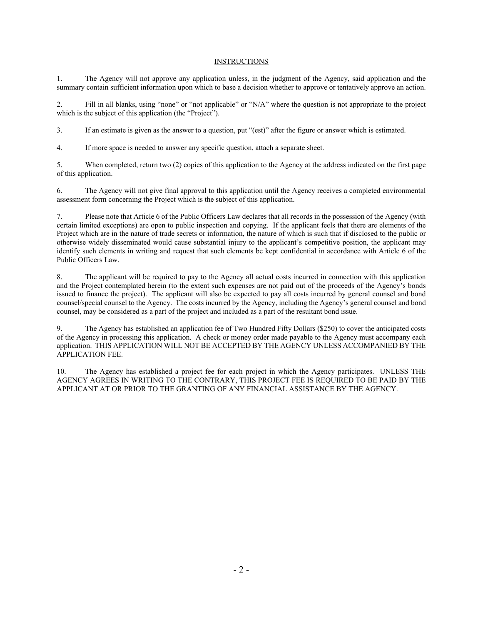#### **INSTRUCTIONS**

1. The Agency will not approve any application unless, in the judgment of the Agency, said application and the summary contain sufficient information upon which to base a decision whether to approve or tentatively approve an action.

2. Fill in all blanks, using "none" or "not applicable" or "N/A" where the question is not appropriate to the project which is the subject of this application (the "Project").

3. If an estimate is given as the answer to a question, put "(est)" after the figure or answer which is estimated.

4. If more space is needed to answer any specific question, attach a separate sheet.

5. When completed, return two (2) copies of this application to the Agency at the address indicated on the first page of this application.

6. The Agency will not give final approval to this application until the Agency receives a completed environmental assessment form concerning the Project which is the subject of this application.

7. Please note that Article 6 of the Public Officers Law declares that all records in the possession of the Agency (with certain limited exceptions) are open to public inspection and copying. If the applicant feels that there are elements of the Project which are in the nature of trade secrets or information, the nature of which is such that if disclosed to the public or otherwise widely disseminated would cause substantial injury to the applicant's competitive position, the applicant may identify such elements in writing and request that such elements be kept confidential in accordance with Article 6 of the Public Officers Law.

8. The applicant will be required to pay to the Agency all actual costs incurred in connection with this application and the Project contemplated herein (to the extent such expenses are not paid out of the proceeds of the Agency's bonds issued to finance the project). The applicant will also be expected to pay all costs incurred by general counsel and bond counsel/special counsel to the Agency. The costs incurred by the Agency, including the Agency's general counsel and bond counsel, may be considered as a part of the project and included as a part of the resultant bond issue.

9. The Agency has established an application fee of Two Hundred Fifty Dollars (\$250) to cover the anticipated costs of the Agency in processing this application. A check or money order made payable to the Agency must accompany each application. THIS APPLICATION WILL NOT BE ACCEPTED BY THE AGENCY UNLESS ACCOMPANIED BY THE APPLICATION FEE.

10. The Agency has established a project fee for each project in which the Agency participates. UNLESS THE AGENCY AGREES IN WRITING TO THE CONTRARY, THIS PROJECT FEE IS REQUIRED TO BE PAID BY THE APPLICANT AT OR PRIOR TO THE GRANTING OF ANY FINANCIAL ASSISTANCE BY THE AGENCY.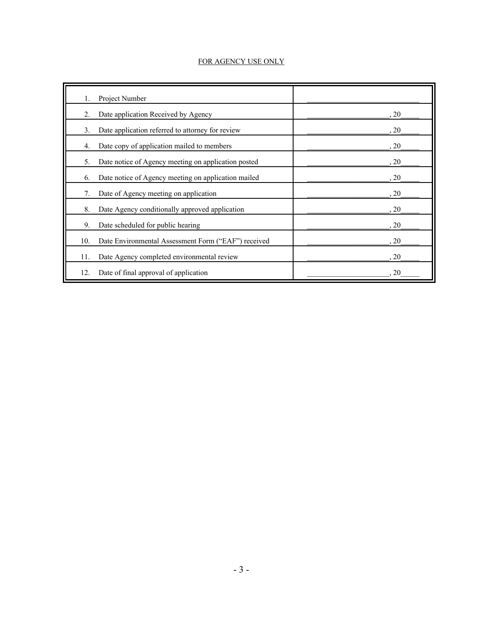#### FOR AGENCY USE ONLY

| 1.  | Project Number                                      |      |
|-----|-----------------------------------------------------|------|
| 2.  | Date application Received by Agency                 | , 20 |
| 3.  | Date application referred to attorney for review    | , 20 |
| 4.  | Date copy of application mailed to members          | , 20 |
| 5.  | Date notice of Agency meeting on application posted | , 20 |
| 6.  | Date notice of Agency meeting on application mailed | , 20 |
| 7.  | Date of Agency meeting on application               | , 20 |
| 8.  | Date Agency conditionally approved application      | , 20 |
| 9.  | Date scheduled for public hearing                   | , 20 |
| 10. | Date Environmental Assessment Form ("EAF") received | , 20 |
| 11. | Date Agency completed environmental review          | , 20 |
| 12. | Date of final approval of application               | 20   |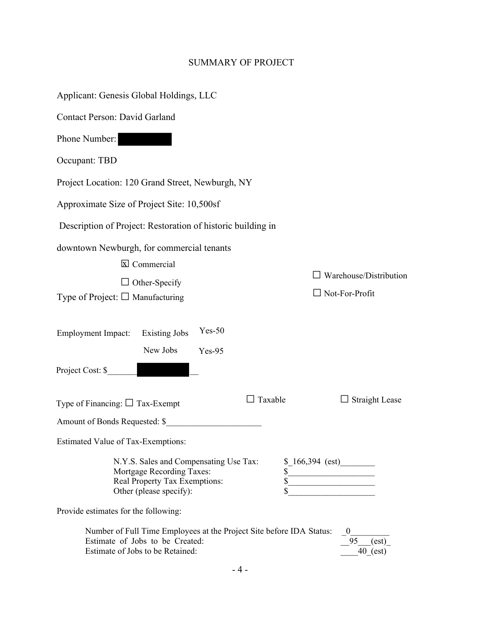# SUMMARY OF PROJECT

| Applicant: Genesis Global Holdings, LLC                                                                                                     |                |                                                 |
|---------------------------------------------------------------------------------------------------------------------------------------------|----------------|-------------------------------------------------|
| Contact Person: David Garland                                                                                                               |                |                                                 |
| Phone Number:                                                                                                                               |                |                                                 |
| Occupant: TBD                                                                                                                               |                |                                                 |
| Project Location: 120 Grand Street, Newburgh, NY                                                                                            |                |                                                 |
| Approximate Size of Project Site: 10,500sf                                                                                                  |                |                                                 |
| Description of Project: Restoration of historic building in                                                                                 |                |                                                 |
| downtown Newburgh, for commercial tenants<br>$\boxtimes$ Commercial<br>$\Box$ Other-Specify<br>Type of Project: $\square$ Manufacturing     |                | Warehouse/Distribution<br>$\Box$ Not-For-Profit |
| $Yes-50$<br><b>Employment Impact:</b><br><b>Existing Jobs</b><br>New Jobs<br>$Yes-95$<br>Project Cost: \$                                   |                |                                                 |
| Type of Financing: $\Box$ Tax-Exempt                                                                                                        | $\Box$ Taxable | $\Box$ Straight Lease                           |
| Amount of Bonds Requested: \$                                                                                                               |                |                                                 |
| Estimated Value of Tax-Exemptions:                                                                                                          |                |                                                 |
| N.Y.S. Sales and Compensating Use Tax:<br>Mortgage Recording Taxes:<br>Real Property Tax Exemptions:<br>Other (please specify):             |                | $$166,394$ (est)                                |
| Provide estimates for the following:                                                                                                        |                |                                                 |
| Number of Full Time Employees at the Project Site before IDA Status:<br>Estimate of Jobs to be Created:<br>Estimate of Jobs to be Retained: |                | $\theta$<br>95<br>(est)<br>$40$ (est)           |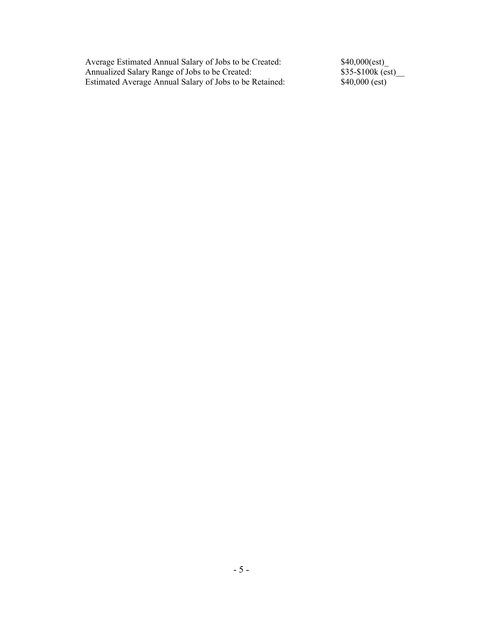Average Estimated Annual Salary of Jobs to be Created: Annualized Salary Range of Jobs to be Created: Estimated Average Annual Salary of Jobs to be Retained:

\$40,000(est)\_ \$35-\$100k (est)\_\_ \$40,000 (est)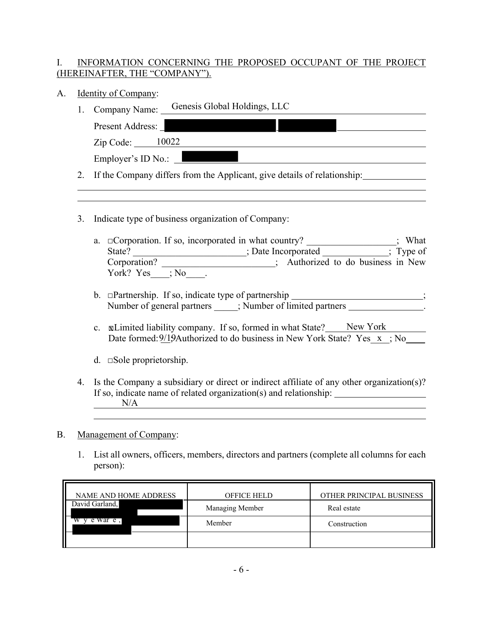## I. INFORMATION CONCERNING THE PROPOSED OCCUPANT OF THE PROJECT (HEREINAFTER, THE "COMPANY").

- A. Identity of Company:
	- 1. Company Name: Genesis Global Holdings, LLC

| Present Address:   |  |
|--------------------|--|
| 10022<br>Zip Code: |  |
| Employer's ID No.: |  |

<u> 1989 - Andrea Santa Alemania, amerikana amerikana amerikana amerikana amerikana amerikana amerikana amerikana</u>

- 2. If the Company differs from the Applicant, give details of relationship:
- 3. Indicate type of business organization of Company:
	- a. □Corporation. If so, incorporated in what country? \_\_\_\_\_\_\_\_\_\_\_\_\_\_\_\_\_; What State? \_\_\_\_\_\_\_\_\_\_\_\_\_\_\_\_\_; Date Incorporated \_\_\_\_\_\_\_\_; Type of<br>
	corporation? <br>
	; Authorized to do business in New  $\overline{\phantom{a}}$  ; Authorized to do business in New York? Yes ; No .
	- b. □Partnership. If so, indicate type of partnership \_\_\_\_\_\_\_\_\_\_\_\_\_\_\_\_\_\_\_\_\_\_\_\_; Number of general partners  $\qquad \qquad ;$  Number of limited partners  $\qquad \qquad$ .
	- c. **xLimited liability company.** If so, formed in what State? New York Date formed:  $9/19$ Authorized to do business in New York State? Yes  $x$ ; No
	- d. □Sole proprietorship.
- 4. Is the Company a subsidiary or direct or indirect affiliate of any other organization(s)? If so, indicate name of related organization(s) and relationship: N/A

### B. Management of Company:

1. List all owners, officers, members, directors and partners (complete all columns for each person):

| NAME AND HOME ADDRESS | <b>OFFICE HELD</b> | OTHER PRINCIPAL BUSINESS |  |
|-----------------------|--------------------|--------------------------|--|
| David Garland,        | Managing Member    | Real estate              |  |
| e War e,              | Member             | Construction             |  |
|                       |                    |                          |  |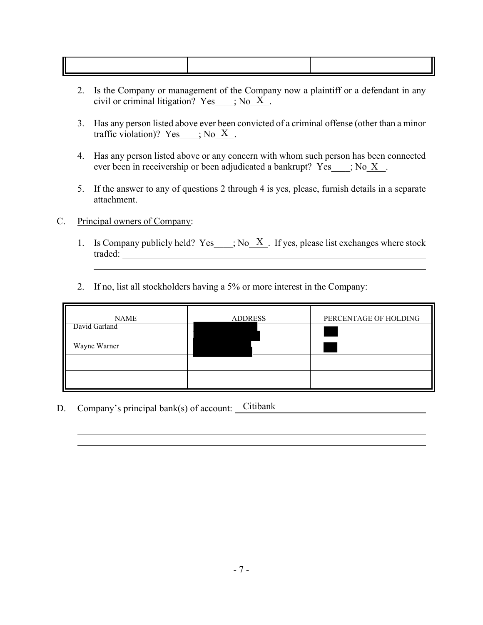- 2. Is the Company or management of the Company now a plaintiff or a defendant in any civil or criminal litigation? Yes  $\qquad$ ; No  $\overline{X}$ .
- 3. Has any person listed above ever been convicted of a criminal offense (other than a minor traffic violation)? Yes  $\quad$ ; No X.
- 4. Has any person listed above or any concern with whom such person has been connected ever been in receivership or been adjudicated a bankrupt?  $Yes$ ; No X.
- 5. If the answer to any of questions 2 through 4 is yes, please, furnish details in a separate attachment.
- C. Principal owners of Company:
	- 1. Is Company publicly held? Yes  $\therefore$  No  $\overline{X}$ . If yes, please list exchanges where stock traded:
	- 2. If no, list all stockholders having a 5% or more interest in the Company:

| <b>NAME</b>   | <b>ADDRESS</b> | PERCENTAGE OF HOLDING |  |  |
|---------------|----------------|-----------------------|--|--|
| David Garland |                |                       |  |  |
| Wayne Warner  |                |                       |  |  |
|               |                |                       |  |  |
|               |                |                       |  |  |

D. Company's principal bank(s) of account: Citibank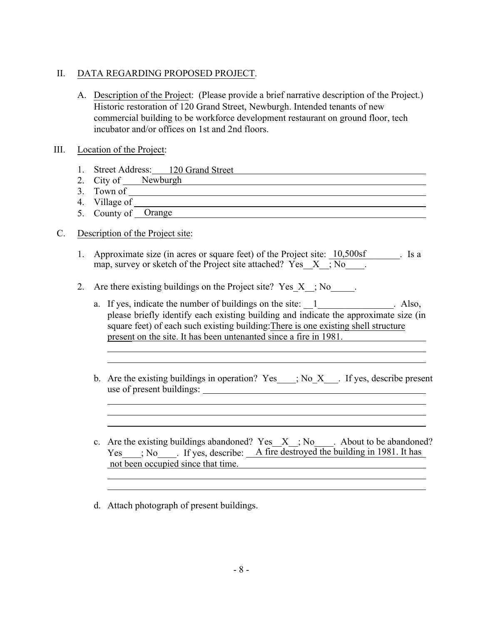### II. DATA REGARDING PROPOSED PROJECT.

A. Description of the Project: (Please provide a brief narrative description of the Project.) Historic restoration of 120 Grand Street, Newburgh. Intended tenants of new commercial building to be workforce development restaurant on ground floor, tech incubator and/or offices on 1st and 2nd floors.

### III. Location of the Project:

- 1. Street Address: 120 Grand Street
- 2. City of Newburgh
- 3. Town of
- <u> 1989 Johann Stoff, deutscher Stoffen und der Stoffen und der Stoffen und der Stoffen und der Stoffen und der</u> 4. Village of
- 5. County of Orange

### C. Description of the Project site:

1. Approximate size (in acres or square feet) of the Project site: 10,500sf . Is a map, survey or sketch of the Project site attached? Yes  $X$ ,  $\overline{N_0}$ .

<u> 1989 - Johann Stoff, deutscher Stoffen und der Stoffen und der Stoffen und der Stoffen und der Stoffen und der</u>

- 2. Are there existing buildings on the Project site? Yes  $X$ ; No.
	- a. If yes, indicate the number of buildings on the site: 1 and 1 Also, please briefly identify each existing building and indicate the approximate size (in square feet) of each such existing building:There is one existing shell structure present on the site. It has been untenanted since a fire in 1981.
	- b. Are the existing buildings in operation? Yes  $\quad$ ; No X  $\quad$ . If yes, describe present use of present buildings:
	- c. Are the existing buildings abandoned? Yes  $X$ ; No. About to be abandoned? Yes  $\quad$ ; No  $\quad$  . If yes, describe: A fire destroyed the building in 1981. It has not been occupied since that time.
	- d. Attach photograph of present buildings.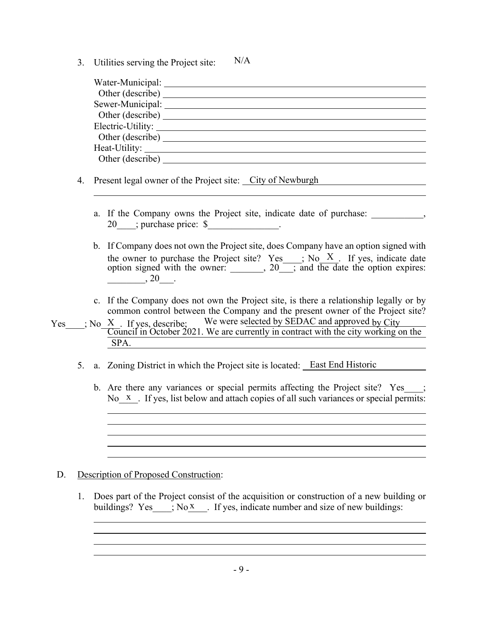3. Utilities serving the Project site: N/A

| Water-Municipal:  |  |
|-------------------|--|
| Other (describe)  |  |
| Sewer-Municipal:  |  |
| Other (describe)  |  |
| Electric-Utility: |  |
| Other (describe)  |  |
|                   |  |
| Other (describe)  |  |
|                   |  |

- 4. Present legal owner of the Project site: City of Newburgh
	- a. If the Company owns the Project site, indicate date of purchase: 20 ; purchase price: \$
	- b. If Company does not own the Project site, does Company have an option signed with the owner to purchase the Project site? Yes  $\quad$ ; No  $\quad$  X  $\quad$  If yes, indicate date option signed with the owner:  $\qquad \qquad . 20$ , and the date the option expires:  $, 20$
	- c. If the Company does not own the Project site, is there a relationship legally or by common control between the Company and the present owner of the Project site?
- Yes  $\therefore$  No X . If yes, describe; We were selected by SEDAC and approved by City Council in October 2021. We are currently in contract with the city working on the SPA.
	- 5. a. Zoning District in which the Project site is located: East End Historic
		- b. Are there any variances or special permits affecting the Project site? Yes ; No<sub>X</sub>. If yes, list below and attach copies of all such variances or special permits:

### D. Description of Proposed Construction:

1. Does part of the Project consist of the acquisition or construction of a new building or buildings? Yes  $\therefore$  No X  $\therefore$  If yes, indicate number and size of new buildings: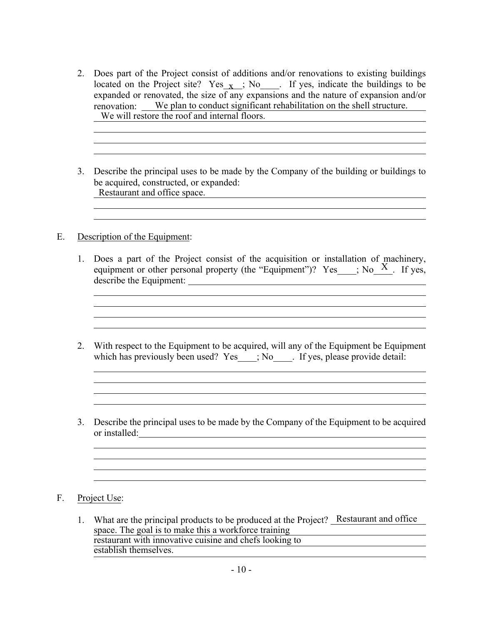2. Does part of the Project consist of additions and/or renovations to existing buildings located on the Project site?  $Yes_{\_X}$ ; No<sub>\_\_\_\_</sub>. If yes, indicate the buildings to be expanded or renovated, the size of any expansions and the nature of expansion and/or renovation: We plan to conduct significant rehabilitation on the shell structure. We will restore the roof and internal floors.

<u> 1989 - Johann Stoff, deutscher Stoffen und der Stoffen und der Stoffen und der Stoffen und der Stoffen und der</u>

<u> 1989 - Johann Barbara, martin amerikan basal dan berasal dalam basal dalam basal dalam basal dalam basal dala</u>

3. Describe the principal uses to be made by the Company of the building or buildings to be acquired, constructed, or expanded: Restaurant and office space.

<u> 1989 - Andrea Station Barbara, amerikan basar dan berasal di basa dan basa dan basa dan basa dan basa dan ba</u>

### E. Description of the Equipment:

- 1. Does a part of the Project consist of the acquisition or installation of machinery, equipment or other personal property (the "Equipment")? Yes  $\longrightarrow$ ; No $\frac{X}{X}$ . If yes, describe the Equipment:
- 2. With respect to the Equipment to be acquired, will any of the Equipment be Equipment which has previously been used? Yes ; No . If yes, please provide detail:

and the control of the control of the control of the control of the control of the control of the control of the

3. Describe the principal uses to be made by the Company of the Equipment to be acquired or installed:

F. Project Use:

1. What are the principal products to be produced at the Project? Restaurant and office space. The goal is to make this a workforce training restaurant with innovative cuisine and chefs looking to establish themselves.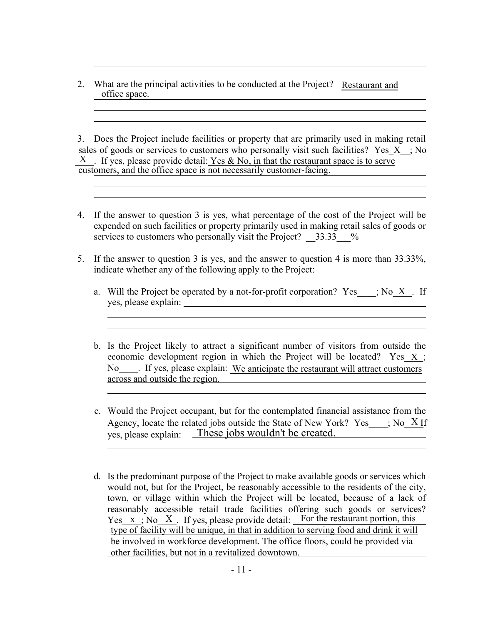2. What are the principal activities to be conducted at the Project? Restaurant and office space.

3. Does the Project include facilities or property that are primarily used in making retail sales of goods or services to customers who personally visit such facilities? Yes  $X$ ; No  $X$ . If yes, please provide detail: Yes & No, in that the restaurant space is to serve customers, and the office space is not necessarily customer-facing.

- 4. If the answer to question 3 is yes, what percentage of the cost of the Project will be expended on such facilities or property primarily used in making retail sales of goods or services to customers who personally visit the Project?  $33.33\%$
- 5. If the answer to question 3 is yes, and the answer to question 4 is more than 33.33%, indicate whether any of the following apply to the Project:
	- a. Will the Project be operated by a not-for-profit corporation? Yes  $\cdot$ ; No X  $\cdot$  If yes, please explain:
	- b. Is the Project likely to attract a significant number of visitors from outside the economic development region in which the Project will be located? Yes  $X$ ; No Figure . If yes, please explain: We anticipate the restaurant will attract customers across and outside the region.
	- c. Would the Project occupant, but for the contemplated financial assistance from the Agency, locate the related jobs outside the State of New York? Yes  $\cdot$ ; No X If yes, please explain: These jobs wouldn't be created.
	- would not, but for the Project, be reasonably accessible to the residents of the city, town, or village within which the Project will be located, because of a lack of reasonably accessible retail trade facilities offering such goods or services? Yes  $x$ ; No  $X$ . If yes, please provide detail: For the restaurant portion, this d. Is the predominant purpose of the Project to make available goods or services which type of facility will be unique, in that in addition to serving food and drink it will be involved in workforce development. The office floors, could be provided via other facilities, but not in a revitalized downtown.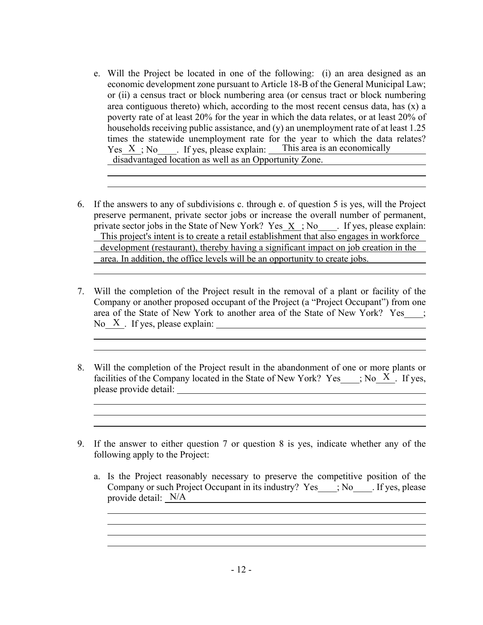- e. Will the Project be located in one of the following: (i) an area designed as an economic development zone pursuant to Article 18-B of the General Municipal Law; or (ii) a census tract or block numbering area (or census tract or block numbering area contiguous thereto) which, according to the most recent census data, has (x) a poverty rate of at least 20% for the year in which the data relates, or at least 20% of households receiving public assistance, and (y) an unemployment rate of at least 1.25 times the statewide unemployment rate for the year to which the data relates? Yes  $X$ ; No  $\blacksquare$ . If yes, please explain: This area is an economically disadvantaged location as well as an Opportunity Zone.
- 6. If the answers to any of subdivisions c. through e. of question 5 is yes, will the Project preserve permanent, private sector jobs or increase the overall number of permanent, private sector jobs in the State of New York?  $Yes\_X$ ; No<sub>\_\_\_\_</sub>. If yes, please explain: This project's intent is to create a retail establishment that also engages in workforce development (restaurant), thereby having a significant impact on job creation in the area. In addition, the office levels will be an opportunity to create jobs.
- 7. Will the completion of the Project result in the removal of a plant or facility of the Company or another proposed occupant of the Project (a "Project Occupant") from one area of the State of New York to another area of the State of New York? Yes\_\_\_; No  $X$ . If yes, please explain:
- 8. Will the completion of the Project result in the abandonment of one or more plants or facilities of the Company located in the State of New York? Yes  $\qquad$ ; No  $\bar{X}$ . If yes, please provide detail:
- 9. If the answer to either question 7 or question 8 is yes, indicate whether any of the following apply to the Project:
	- a. Is the Project reasonably necessary to preserve the competitive position of the Company or such Project Occupant in its industry? Yes ; No If yes, please provide detail: N/A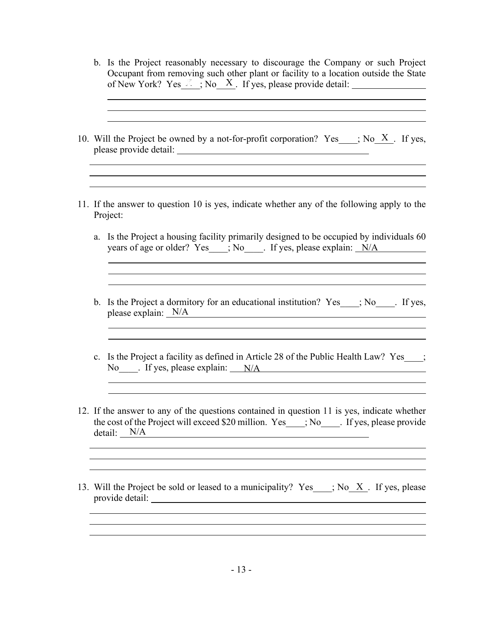|  | b. Is the Project reasonably necessary to discourage the Company or such Project<br>Occupant from removing such other plant or facility to a location outside the State                                                                                        |
|--|----------------------------------------------------------------------------------------------------------------------------------------------------------------------------------------------------------------------------------------------------------------|
|  | 10. Will the Project be owned by a not-for-profit corporation? Yes ___; No $X$ . If yes,                                                                                                                                                                       |
|  | and the control of the control of the control of the control of the control of the control of the control of the<br>11. If the answer to question 10 is yes, indicate whether any of the following apply to the<br>Project:                                    |
|  | a. Is the Project a housing facility primarily designed to be occupied by individuals 60<br>years of age or older? Yes___; No____. If yes, please explain: N/A                                                                                                 |
|  | b. Is the Project a dormitory for an educational institution? Yes ___; No ____. If yes,<br>please explain: $N/A$                                                                                                                                               |
|  | c. Is the Project a facility as defined in Article 28 of the Public Health Law? Yes ;<br>No figures, please explain: N/A                                                                                                                                       |
|  | 12. If the answer to any of the questions contained in question 11 is yes, indicate whether<br>the cost of the Project will exceed \$20 million. Yes___; No____. If yes, please provide<br>detail: N/A<br><u> 1980 - Johann Barn, fransk politik (d. 1980)</u> |
|  | ,我们也不会有什么。""我们的人,我们也不会有什么?""我们的人,我们也不会有什么?""我们的人,我们也不会有什么?""我们的人,我们也不会有什么?""我们的人<br>13. Will the Project be sold or leased to a municipality? Yes ; No X. If yes, please                                                                                       |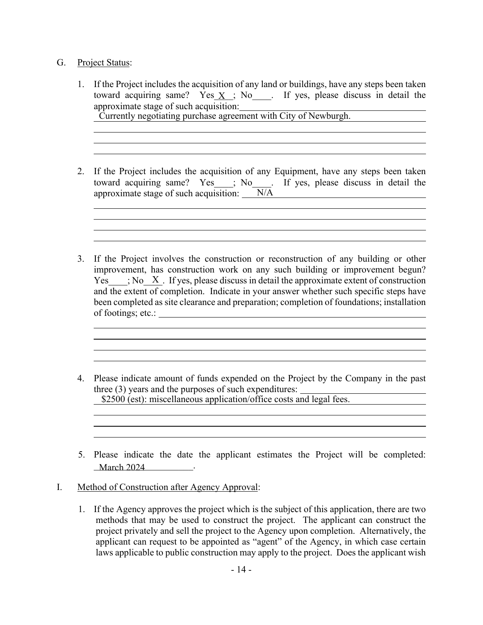### G. Project Status:

1. If the Project includes the acquisition of any land or buildings, have any steps been taken toward acquiring same? Yes  $X$ ; No and M yes, please discuss in detail the approximate stage of such acquisition:

Currently negotiating purchase agreement with City of Newburgh.

2. If the Project includes the acquisition of any Equipment, have any steps been taken toward acquiring same? Yes ; No. If yes, please discuss in detail the approximate stage of such acquisition:  $N/A$ 

- 3. If the Project involves the construction or reconstruction of any building or other improvement, has construction work on any such building or improvement begun? Yes  $\longrightarrow$ ; No  $\overline{X}$ . If yes, please discuss in detail the approximate extent of construction and the extent of completion. Indicate in your answer whether such specific steps have been completed as site clearance and preparation; completion of foundations; installation of footings; etc.:
- 4. Please indicate amount of funds expended on the Project by the Company in the past three (3) years and the purposes of such expenditures: \$2500 (est): miscellaneous application/office costs and legal fees.
- 5. Please indicate the date the applicant estimates the Project will be completed: \_\_\_\_\_\_\_\_\_\_\_\_\_\_\_\_\_\_\_\_\_. March 2024
- I. Method of Construction after Agency Approval:
	- 1. If the Agency approves the project which is the subject of this application, there are two methods that may be used to construct the project. The applicant can construct the project privately and sell the project to the Agency upon completion. Alternatively, the applicant can request to be appointed as "agent" of the Agency, in which case certain laws applicable to public construction may apply to the project. Does the applicant wish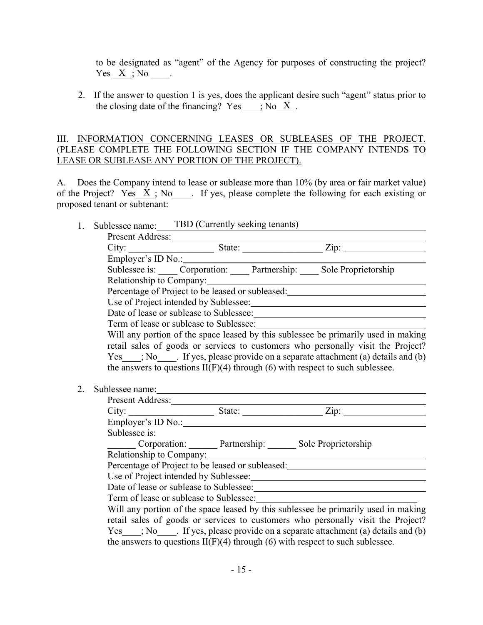to be designated as "agent" of the Agency for purposes of constructing the project?  $Yes X ; No$ .

2. If the answer to question 1 is yes, does the applicant desire such "agent" status prior to the closing date of the financing?  $Yes$ ; No\_X,

### III. INFORMATION CONCERNING LEASES OR SUBLEASES OF THE PROJECT. (PLEASE COMPLETE THE FOLLOWING SECTION IF THE COMPANY INTENDS TO LEASE OR SUBLEASE ANY PORTION OF THE PROJECT).

A. Does the Company intend to lease or sublease more than 10% (by area or fair market value) of the Project? Yes  $X$ ; No  $\Box$ . If yes, please complete the following for each existing or proposed tenant or subtenant:

| 1. | Sublessee name: TBD (Currently seeking tenants)                                                                                                                                                                               |                                                                                  |  |                                                                                                                                                                                                                                |  |  |  |
|----|-------------------------------------------------------------------------------------------------------------------------------------------------------------------------------------------------------------------------------|----------------------------------------------------------------------------------|--|--------------------------------------------------------------------------------------------------------------------------------------------------------------------------------------------------------------------------------|--|--|--|
|    |                                                                                                                                                                                                                               |                                                                                  |  |                                                                                                                                                                                                                                |  |  |  |
|    |                                                                                                                                                                                                                               |                                                                                  |  |                                                                                                                                                                                                                                |  |  |  |
|    |                                                                                                                                                                                                                               | Employer's ID No.:                                                               |  |                                                                                                                                                                                                                                |  |  |  |
|    |                                                                                                                                                                                                                               |                                                                                  |  | Sublessee is: _____ Corporation: _____ Partnership: _____ Sole Proprietorship                                                                                                                                                  |  |  |  |
|    |                                                                                                                                                                                                                               |                                                                                  |  | Relationship to Company:                                                                                                                                                                                                       |  |  |  |
|    |                                                                                                                                                                                                                               | Percentage of Project to be leased or subleased: _______________________________ |  |                                                                                                                                                                                                                                |  |  |  |
|    |                                                                                                                                                                                                                               |                                                                                  |  |                                                                                                                                                                                                                                |  |  |  |
|    |                                                                                                                                                                                                                               |                                                                                  |  |                                                                                                                                                                                                                                |  |  |  |
|    |                                                                                                                                                                                                                               |                                                                                  |  |                                                                                                                                                                                                                                |  |  |  |
|    |                                                                                                                                                                                                                               |                                                                                  |  | Will any portion of the space leased by this sublessee be primarily used in making                                                                                                                                             |  |  |  |
|    |                                                                                                                                                                                                                               |                                                                                  |  | retail sales of goods or services to customers who personally visit the Project?                                                                                                                                               |  |  |  |
|    |                                                                                                                                                                                                                               |                                                                                  |  | Yes ; No flyes, please provide on a separate attachment (a) details and (b)                                                                                                                                                    |  |  |  |
|    |                                                                                                                                                                                                                               |                                                                                  |  | the answers to questions $II(F)(4)$ through (6) with respect to such sublessee.                                                                                                                                                |  |  |  |
|    |                                                                                                                                                                                                                               |                                                                                  |  |                                                                                                                                                                                                                                |  |  |  |
| 2. | Sublessee name: Note also have a series of the series of the series of the series of the series of the series of the series of the series of the series of the series of the series of the series of the series of the series |                                                                                  |  |                                                                                                                                                                                                                                |  |  |  |
|    |                                                                                                                                                                                                                               | Present Address:                                                                 |  |                                                                                                                                                                                                                                |  |  |  |
|    |                                                                                                                                                                                                                               |                                                                                  |  |                                                                                                                                                                                                                                |  |  |  |
|    |                                                                                                                                                                                                                               |                                                                                  |  |                                                                                                                                                                                                                                |  |  |  |
|    | Sublessee is:                                                                                                                                                                                                                 |                                                                                  |  |                                                                                                                                                                                                                                |  |  |  |
|    |                                                                                                                                                                                                                               |                                                                                  |  | Corporation: Partnership: Sole Proprietorship                                                                                                                                                                                  |  |  |  |
|    |                                                                                                                                                                                                                               |                                                                                  |  | Relationship to Company: Manual Manual Assembly and Assembly and Assembly and Assembly and Assembly and Assembly and Assembly and Assembly and Assembly and Assembly and Assembly and Assembly and Assembly and Assembly and A |  |  |  |
|    |                                                                                                                                                                                                                               |                                                                                  |  | Percentage of Project to be leased or subleased:<br><u>Percentage of Project to be leased or subleased:</u>                                                                                                                    |  |  |  |
|    |                                                                                                                                                                                                                               |                                                                                  |  |                                                                                                                                                                                                                                |  |  |  |
|    |                                                                                                                                                                                                                               |                                                                                  |  |                                                                                                                                                                                                                                |  |  |  |
|    |                                                                                                                                                                                                                               | Term of lease or sublease to Sublessee:                                          |  |                                                                                                                                                                                                                                |  |  |  |
|    |                                                                                                                                                                                                                               |                                                                                  |  | Will any portion of the space leased by this sublessee be primarily used in making                                                                                                                                             |  |  |  |
|    |                                                                                                                                                                                                                               |                                                                                  |  | retail sales of goods or services to customers who personally visit the Project?                                                                                                                                               |  |  |  |
|    |                                                                                                                                                                                                                               |                                                                                  |  | $Yes$ ; No If yes, please provide on a separate attachment (a) details and (b)                                                                                                                                                 |  |  |  |
|    |                                                                                                                                                                                                                               |                                                                                  |  | the answers to questions $II(F)(4)$ through (6) with respect to such sublessee.                                                                                                                                                |  |  |  |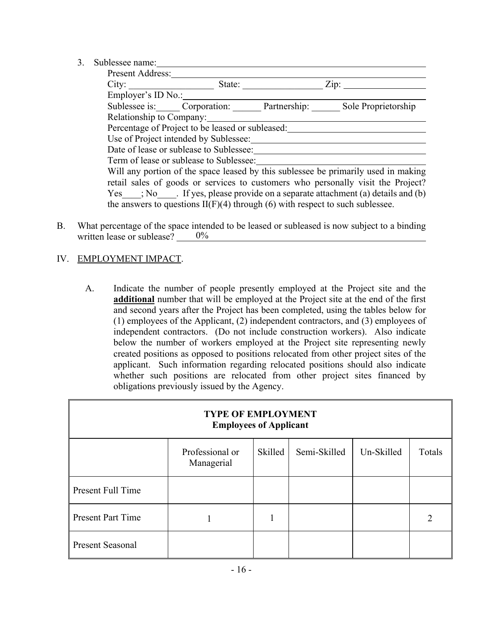3. Sublessee name:

| uvicssee haille.         |                                                                                 |                                                                                    |
|--------------------------|---------------------------------------------------------------------------------|------------------------------------------------------------------------------------|
| Present Address:         |                                                                                 |                                                                                    |
| City:                    | State:                                                                          | Zip:                                                                               |
| Employer's ID No.:       |                                                                                 |                                                                                    |
|                          | Sublessee is: Corporation: Partnership:                                         | Sole Proprietorship                                                                |
| Relationship to Company: |                                                                                 |                                                                                    |
|                          | Percentage of Project to be leased or subleased:                                |                                                                                    |
|                          | Use of Project intended by Sublessee:                                           |                                                                                    |
|                          | Date of lease or sublease to Sublessee:                                         |                                                                                    |
|                          | Term of lease or sublease to Sublessee:                                         |                                                                                    |
|                          |                                                                                 | Will any portion of the space leased by this sublessee be primarily used in making |
|                          |                                                                                 | retail sales of goods or services to customers who personally visit the Project?   |
|                          |                                                                                 | $Yes$ ; No Figures, please provide on a separate attachment (a) details and (b)    |
|                          | the answers to questions $II(F)(4)$ through (6) with respect to such sublessee. |                                                                                    |

B. What percentage of the space intended to be leased or subleased is now subject to a binding written lease or sublease?  $0\%$ 

### IV. EMPLOYMENT IMPACT.

A. Indicate the number of people presently employed at the Project site and the **additional** number that will be employed at the Project site at the end of the first and second years after the Project has been completed, using the tables below for (1) employees of the Applicant, (2) independent contractors, and (3) employees of independent contractors. (Do not include construction workers). Also indicate below the number of workers employed at the Project site representing newly created positions as opposed to positions relocated from other project sites of the applicant. Such information regarding relocated positions should also indicate whether such positions are relocated from other project sites financed by obligations previously issued by the Agency.

| <b>TYPE OF EMPLOYMENT</b><br><b>Employees of Applicant</b>                       |  |  |  |  |  |  |
|----------------------------------------------------------------------------------|--|--|--|--|--|--|
| Professional or<br>Semi-Skilled<br>Un-Skilled<br>Totals<br>Skilled<br>Managerial |  |  |  |  |  |  |
| Present Full Time                                                                |  |  |  |  |  |  |
| <b>Present Part Time</b>                                                         |  |  |  |  |  |  |
| <b>Present Seasonal</b>                                                          |  |  |  |  |  |  |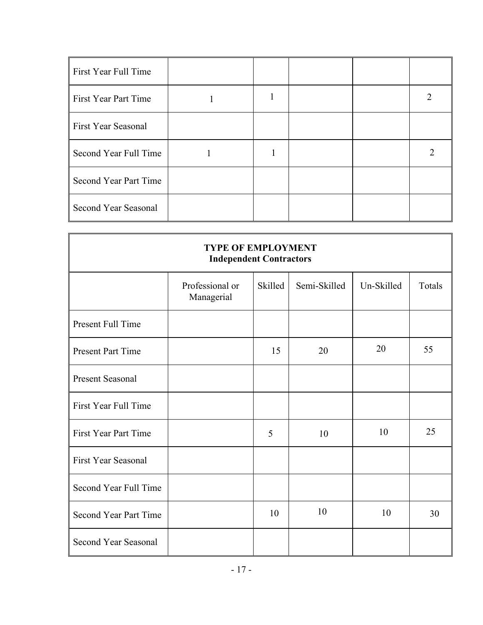| First Year Full Time         |  |  |  |
|------------------------------|--|--|--|
| First Year Part Time         |  |  |  |
| <b>First Year Seasonal</b>   |  |  |  |
| Second Year Full Time        |  |  |  |
| <b>Second Year Part Time</b> |  |  |  |
| Second Year Seasonal         |  |  |  |

|                            | <b>TYPE OF EMPLOYMENT</b><br><b>Independent Contractors</b> |         |              |            |        |
|----------------------------|-------------------------------------------------------------|---------|--------------|------------|--------|
|                            | Professional or<br>Managerial                               | Skilled | Semi-Skilled | Un-Skilled | Totals |
| Present Full Time          |                                                             |         |              |            |        |
| <b>Present Part Time</b>   |                                                             | 15      | 20           | 20         | 55     |
| <b>Present Seasonal</b>    |                                                             |         |              |            |        |
| First Year Full Time       |                                                             |         |              |            |        |
| First Year Part Time       |                                                             | 5       | 10           | 10         | 25     |
| <b>First Year Seasonal</b> |                                                             |         |              |            |        |
| Second Year Full Time      |                                                             |         |              |            |        |
| Second Year Part Time      |                                                             | 10      | 10           | 10         | 30     |
| Second Year Seasonal       |                                                             |         |              |            |        |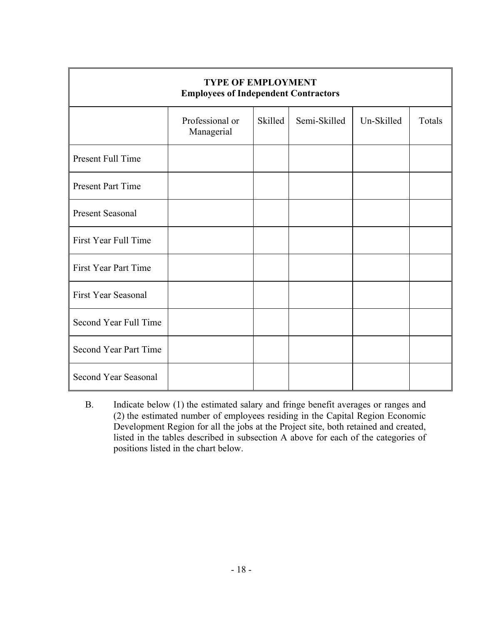|                             | <b>TYPE OF EMPLOYMENT</b><br><b>Employees of Independent Contractors</b> |         |              |            |        |
|-----------------------------|--------------------------------------------------------------------------|---------|--------------|------------|--------|
|                             | Professional or<br>Managerial                                            | Skilled | Semi-Skilled | Un-Skilled | Totals |
| Present Full Time           |                                                                          |         |              |            |        |
| <b>Present Part Time</b>    |                                                                          |         |              |            |        |
| <b>Present Seasonal</b>     |                                                                          |         |              |            |        |
| First Year Full Time        |                                                                          |         |              |            |        |
| <b>First Year Part Time</b> |                                                                          |         |              |            |        |
| <b>First Year Seasonal</b>  |                                                                          |         |              |            |        |
| Second Year Full Time       |                                                                          |         |              |            |        |
| Second Year Part Time       |                                                                          |         |              |            |        |
| Second Year Seasonal        |                                                                          |         |              |            |        |

B. Indicate below (1) the estimated salary and fringe benefit averages or ranges and (2) the estimated number of employees residing in the Capital Region Economic Development Region for all the jobs at the Project site, both retained and created, listed in the tables described in subsection A above for each of the categories of positions listed in the chart below.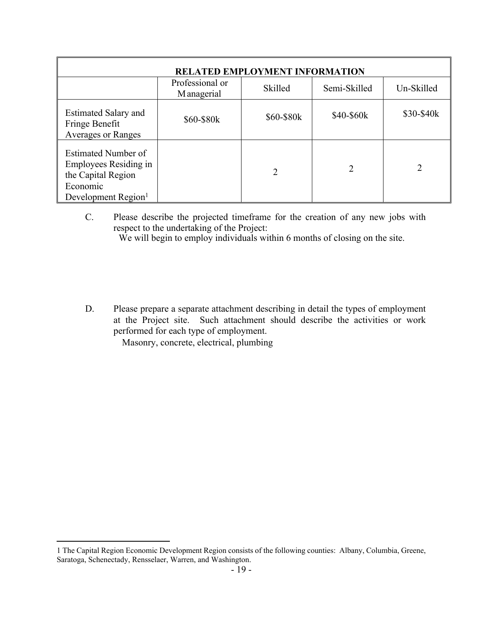|                                                                                                                   |                               | <b>RELATED EMPLOYMENT INFORMATION</b> |              |            |
|-------------------------------------------------------------------------------------------------------------------|-------------------------------|---------------------------------------|--------------|------------|
|                                                                                                                   | Professional or<br>Managerial | Skilled                               | Semi-Skilled | Un-Skilled |
| <b>Estimated Salary and</b><br>Fringe Benefit<br><b>Averages or Ranges</b>                                        | \$60-\$80k                    | \$60-\$80k                            | \$40-\$60k   | \$30-\$40k |
| Estimated Number of<br>Employees Residing in<br>the Capital Region<br>Economic<br>Development Region <sup>1</sup> |                               | 2                                     | 2            |            |

C. Please describe the projected timeframe for the creation of any new jobs with respect to the undertaking of the Project:

We will begin to employ individuals within 6 months of closing on the site.

D. Please prepare a separate attachment describing in detail the types of employment at the Project site. Such attachment should describe the activities or work performed for each type of employment.

Masonry, concrete, electrical, plumbing

<sup>1</sup> The Capital Region Economic Development Region consists of the following counties: Albany, Columbia, Greene, Saratoga, Schenectady, Rensselaer, Warren, and Washington.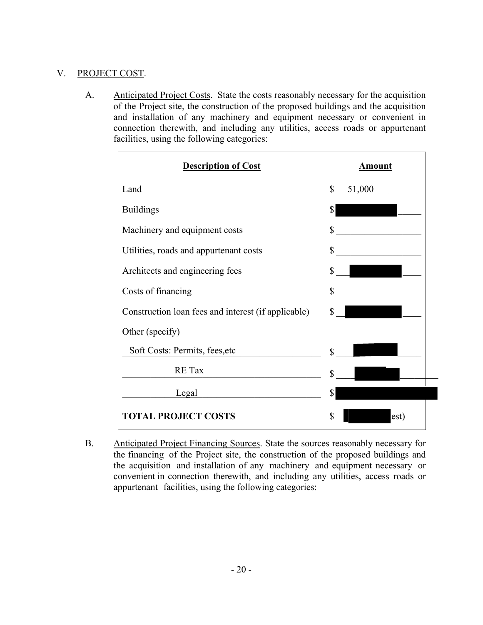### V. PROJECT COST.

A. Anticipated Project Costs. State the costs reasonably necessary for the acquisition of the Project site, the construction of the proposed buildings and the acquisition and installation of any machinery and equipment necessary or convenient in connection therewith, and including any utilities, access roads or appurtenant facilities, using the following categories:

| <b>Description of Cost</b>                          | <b>Amount</b>          |
|-----------------------------------------------------|------------------------|
| Land                                                | $\mathbb{S}$<br>51,000 |
| <b>Buildings</b>                                    | \$                     |
| Machinery and equipment costs                       | \$                     |
| Utilities, roads and appurtenant costs              | \$                     |
| Architects and engineering fees                     | \$                     |
| Costs of financing                                  | \$                     |
| Construction loan fees and interest (if applicable) | \$                     |
| Other (specify)                                     |                        |
| Soft Costs: Permits, fees, etc                      | \$                     |
| RE Tax                                              | \$                     |
| Legal                                               | \$                     |
| <b>TOTAL PROJECT COSTS</b>                          | \$<br>est)             |

B. Anticipated Project Financing Sources. State the sources reasonably necessary for the financing of the Project site, the construction of the proposed buildings and the acquisition and installation of any machinery and equipment necessary or convenient in connection therewith, and including any utilities, access roads or appurtenant facilities, using the following categories: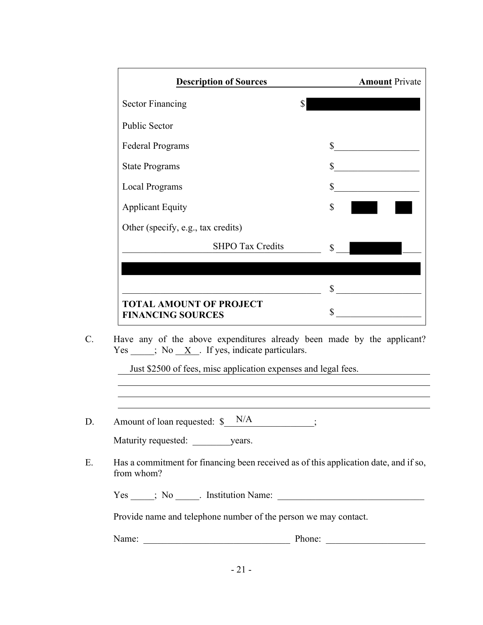| <b>Description of Sources</b>                              | <b>Amount Private</b> |
|------------------------------------------------------------|-----------------------|
| <b>Sector Financing</b>                                    |                       |
| <b>Public Sector</b>                                       |                       |
| <b>Federal Programs</b>                                    | \$                    |
| <b>State Programs</b>                                      | \$                    |
| <b>Local Programs</b>                                      | \$                    |
| <b>Applicant Equity</b>                                    | \$                    |
| Other (specify, e.g., tax credits)                         |                       |
| <b>SHPO Tax Credits</b>                                    | \$                    |
|                                                            |                       |
|                                                            | \$                    |
| <b>TOTAL AMOUNT OF PROJECT</b><br><b>FINANCING SOURCES</b> | \$                    |

C. Have any of the above expenditures already been made by the applicant?  $Yes \_\_\_\_$ ; No  $X$ . If yes, indicate particulars.

Just \$2500 of fees, misc application expenses and legal fees.

D. Amount of loan requested:  $\delta$  N/A ;

| Maturity requested: | vears. |
|---------------------|--------|
|---------------------|--------|

E. Has a commitment for financing been received as of this application date, and if so, from whom?

Yes \_\_\_\_\_; No \_\_\_\_\_. Institution Name: \_\_\_\_\_\_\_\_\_\_\_\_\_\_\_\_\_\_\_\_\_\_\_\_\_\_\_\_\_\_\_

Provide name and telephone number of the person we may contact.

Name: \_\_\_\_\_\_\_\_\_\_\_\_\_\_\_\_\_\_\_\_\_\_\_\_\_\_\_\_\_\_\_ Phone: \_\_\_\_\_\_\_\_\_\_\_\_\_\_\_\_\_\_\_\_\_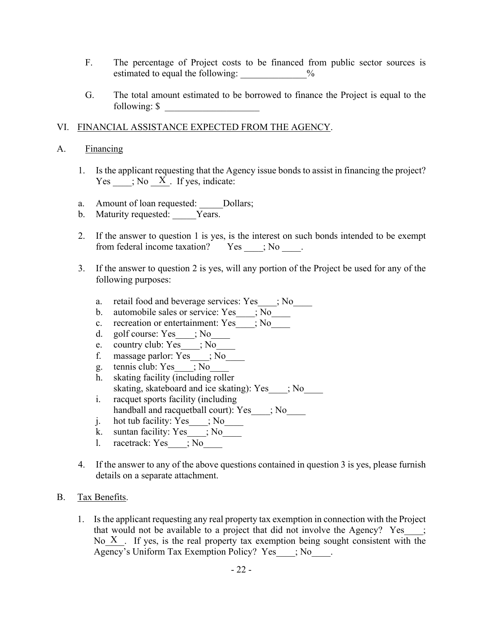- F. The percentage of Project costs to be financed from public sector sources is estimated to equal the following:  $\%$
- G. The total amount estimated to be borrowed to finance the Project is equal to the following:  $\sqrt{s}$

### VI. FINANCIAL ASSISTANCE EXPECTED FROM THE AGENCY.

### A. Financing

- 1. Is the applicant requesting that the Agency issue bonds to assist in financing the project? Yes  $; No X$ . If yes, indicate:
- a. Amount of loan requested: \_\_\_\_\_Dollars;
- b. Maturity requested: Years.
- 2. If the answer to question 1 is yes, is the interest on such bonds intended to be exempt from federal income taxation? Yes \_\_\_\_; No \_\_\_\_.
- 3. If the answer to question 2 is yes, will any portion of the Project be used for any of the following purposes:
	- a. retail food and beverage services: Yes  $\qquad$ ; No
	- b. automobile sales or service: Yes  $\qquad$ ; No
	- c. recreation or entertainment: Yes  $\qquad$ ; No
	- d. golf course: Yes  $;$  No
	- e. country club: Yes\_\_\_\_; No\_\_\_\_\_
	- f. massage parlor:  $Y_{\text{es}}$  ; No
	- g. tennis club: Yes\_\_\_\_; No\_\_\_\_
	- h. skating facility (including roller skating, skateboard and ice skating): Yes  $\qquad$ ; No
	- i. racquet sports facility (including handball and racquetball court): Yes  $\qquad$ ; No
	- j. hot tub facility: Yes\_\_\_\_; No\_\_\_\_\_
	- k. suntan facility: Yes  $; No$
	- l. racetrack: Yes\_\_\_\_; No\_\_\_\_
- 4. If the answer to any of the above questions contained in question 3 is yes, please furnish details on a separate attachment.

### B. Tax Benefits.

1. Is the applicant requesting any real property tax exemption in connection with the Project that would not be available to a project that did not involve the Agency? Yes $\qquad$ ; No  $X$ . If yes, is the real property tax exemption being sought consistent with the Agency's Uniform Tax Exemption Policy? Yes  $\cdot$ ; No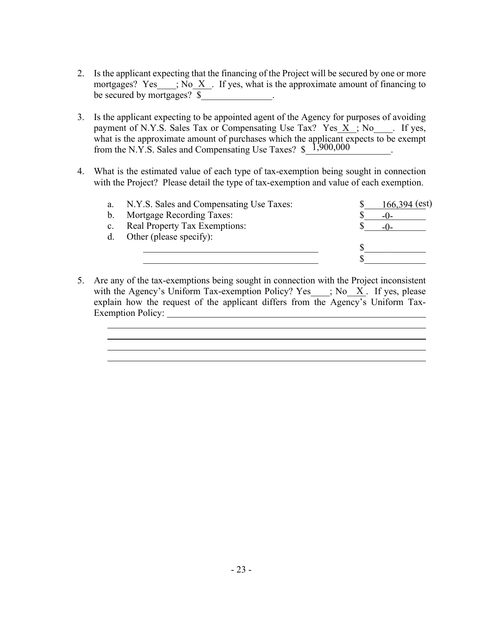- 2. Is the applicant expecting that the financing of the Project will be secured by one or more mortgages? Yes  $\therefore$ ; No X  $\therefore$  If yes, what is the approximate amount of financing to be secured by mortgages?  $\frac{1}{2}$ .
- 3. Is the applicant expecting to be appointed agent of the Agency for purposes of avoiding payment of N.Y.S. Sales Tax or Compensating Use Tax?  $Yes_x : No_x : If yes$ , what is the approximate amount of purchases which the applicant expects to be exempt from the N.Y.S. Sales and Compensating Use Taxes?  $\frac{$1,900,000}{1}$ .
- 4. What is the estimated value of each type of tax-exemption being sought in connection with the Project? Please detail the type of tax-exemption and value of each exemption.

| a.             | N.Y.S. Sales and Compensating Use Taxes: | $166,394$ (est) |  |
|----------------|------------------------------------------|-----------------|--|
| $\mathbf{b}$ . | <b>Mortgage Recording Taxes:</b>         | $-()$           |  |
| $\mathbf{c}$ . | Real Property Tax Exemptions:            |                 |  |
|                | d. Other (please specify):               |                 |  |
|                |                                          |                 |  |
|                |                                          |                 |  |
|                |                                          |                 |  |

5. Are any of the tax-exemptions being sought in connection with the Project inconsistent with the Agency's Uniform Tax-exemption Policy? Yes  $\quad$  ; No  $\quad$  X. If yes, please explain how the request of the applicant differs from the Agency's Uniform Tax-Exemption Policy: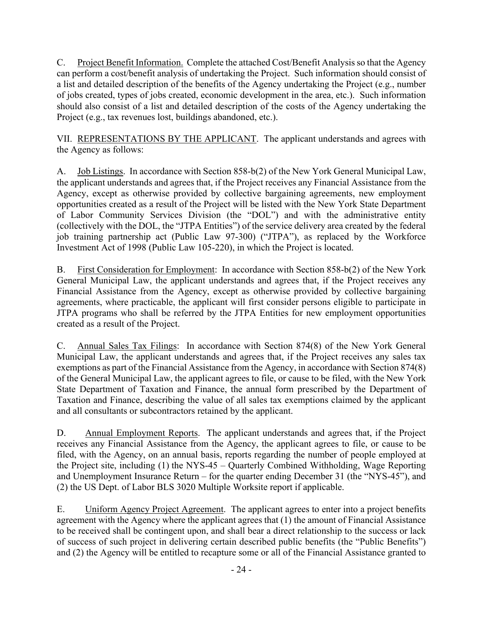C. Project Benefit Information. Complete the attached Cost/Benefit Analysis so that the Agency can perform a cost/benefit analysis of undertaking the Project. Such information should consist of a list and detailed description of the benefits of the Agency undertaking the Project (e.g., number of jobs created, types of jobs created, economic development in the area, etc.). Such information should also consist of a list and detailed description of the costs of the Agency undertaking the Project (e.g., tax revenues lost, buildings abandoned, etc.).

VII. REPRESENTATIONS BY THE APPLICANT. The applicant understands and agrees with the Agency as follows:

A. Job Listings. In accordance with Section 858-b(2) of the New York General Municipal Law, the applicant understands and agrees that, if the Project receives any Financial Assistance from the Agency, except as otherwise provided by collective bargaining agreements, new employment opportunities created as a result of the Project will be listed with the New York State Department of Labor Community Services Division (the "DOL") and with the administrative entity (collectively with the DOL, the "JTPA Entities") of the service delivery area created by the federal job training partnership act (Public Law 97-300) ("JTPA"), as replaced by the Workforce Investment Act of 1998 (Public Law 105-220), in which the Project is located.

B. First Consideration for Employment: In accordance with Section 858-b(2) of the New York General Municipal Law, the applicant understands and agrees that, if the Project receives any Financial Assistance from the Agency, except as otherwise provided by collective bargaining agreements, where practicable, the applicant will first consider persons eligible to participate in JTPA programs who shall be referred by the JTPA Entities for new employment opportunities created as a result of the Project.

C. Annual Sales Tax Filings: In accordance with Section 874(8) of the New York General Municipal Law, the applicant understands and agrees that, if the Project receives any sales tax exemptions as part of the Financial Assistance from the Agency, in accordance with Section 874(8) of the General Municipal Law, the applicant agrees to file, or cause to be filed, with the New York State Department of Taxation and Finance, the annual form prescribed by the Department of Taxation and Finance, describing the value of all sales tax exemptions claimed by the applicant and all consultants or subcontractors retained by the applicant.

D. Annual Employment Reports. The applicant understands and agrees that, if the Project receives any Financial Assistance from the Agency, the applicant agrees to file, or cause to be filed, with the Agency, on an annual basis, reports regarding the number of people employed at the Project site, including (1) the NYS-45 – Quarterly Combined Withholding, Wage Reporting and Unemployment Insurance Return – for the quarter ending December 31 (the "NYS-45"), and (2) the US Dept. of Labor BLS 3020 Multiple Worksite report if applicable.

E. Uniform Agency Project Agreement. The applicant agrees to enter into a project benefits agreement with the Agency where the applicant agrees that (1) the amount of Financial Assistance to be received shall be contingent upon, and shall bear a direct relationship to the success or lack of success of such project in delivering certain described public benefits (the "Public Benefits") and (2) the Agency will be entitled to recapture some or all of the Financial Assistance granted to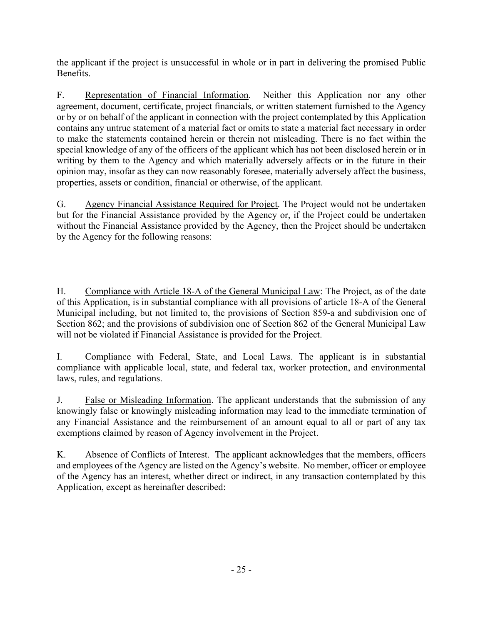the applicant if the project is unsuccessful in whole or in part in delivering the promised Public Benefits.

F. Representation of Financial Information. Neither this Application nor any other agreement, document, certificate, project financials, or written statement furnished to the Agency or by or on behalf of the applicant in connection with the project contemplated by this Application contains any untrue statement of a material fact or omits to state a material fact necessary in order to make the statements contained herein or therein not misleading. There is no fact within the special knowledge of any of the officers of the applicant which has not been disclosed herein or in writing by them to the Agency and which materially adversely affects or in the future in their opinion may, insofar as they can now reasonably foresee, materially adversely affect the business, properties, assets or condition, financial or otherwise, of the applicant.

G. Agency Financial Assistance Required for Project. The Project would not be undertaken but for the Financial Assistance provided by the Agency or, if the Project could be undertaken without the Financial Assistance provided by the Agency, then the Project should be undertaken by the Agency for the following reasons:

H. Compliance with Article 18-A of the General Municipal Law: The Project, as of the date of this Application, is in substantial compliance with all provisions of article 18-A of the General Municipal including, but not limited to, the provisions of Section 859-a and subdivision one of Section 862; and the provisions of subdivision one of Section 862 of the General Municipal Law will not be violated if Financial Assistance is provided for the Project.

I. Compliance with Federal, State, and Local Laws. The applicant is in substantial compliance with applicable local, state, and federal tax, worker protection, and environmental laws, rules, and regulations.

J. False or Misleading Information. The applicant understands that the submission of any knowingly false or knowingly misleading information may lead to the immediate termination of any Financial Assistance and the reimbursement of an amount equal to all or part of any tax exemptions claimed by reason of Agency involvement in the Project.

K. Absence of Conflicts of Interest. The applicant acknowledges that the members, officers and employees of the Agency are listed on the Agency's website. No member, officer or employee of the Agency has an interest, whether direct or indirect, in any transaction contemplated by this Application, except as hereinafter described: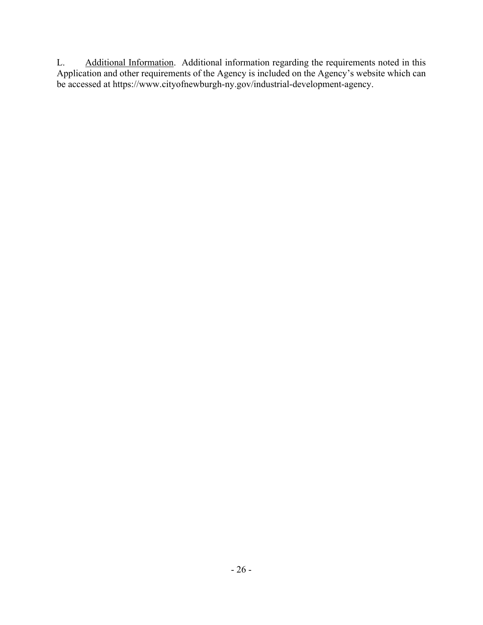L. Additional Information. Additional information regarding the requirements noted in this Application and other requirements of the Agency is included on the Agency's website which can be accessed at https://www.cityofnewburgh-ny.gov/industrial-development-agency.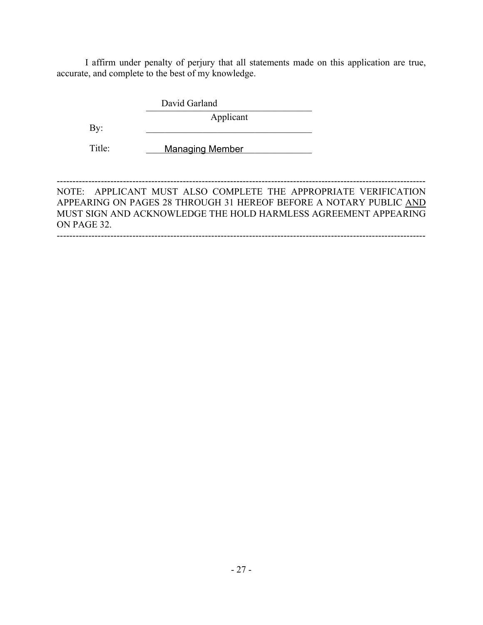I affirm under penalty of perjury that all statements made on this application are true, accurate, and complete to the best of my knowledge.

> David Garland Applicant

Title:

By:

**Managing Member** 

NOTE: APPLICANT MUST ALSO COMPLETE THE APPROPRIATE VERIFICATION APPEARING ON PAGES 28 THROUGH 31 HEREOF BEFORE A NOTARY PUBLIC AND MUST SIGN AND ACKNOWLEDGE THE HOLD HARMLESS AGREEMENT APPEARING ON PAGE 32. ---------------------------------------------------------------------------------------------------------------------

---------------------------------------------------------------------------------------------------------------------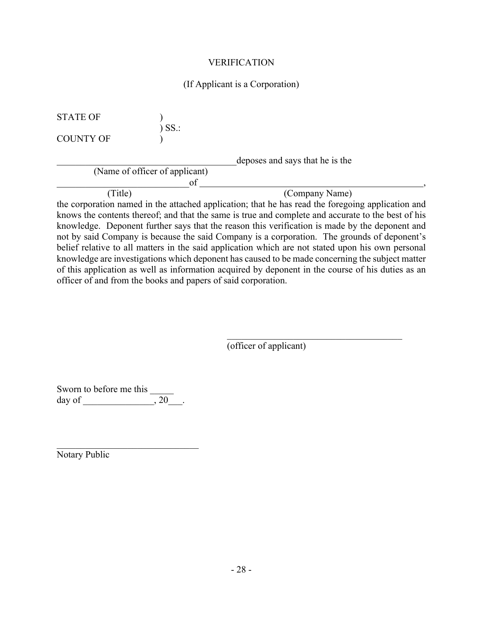### (If Applicant is a Corporation)

STATE OF )  $\sum$  SS.: COUNTY OF ) \_\_\_\_\_\_\_\_\_\_\_\_\_\_\_\_\_\_\_\_\_\_\_\_\_\_\_\_\_\_\_\_\_\_\_\_\_\_deposes and says that he is the (Name of officer of applicant)  $\circ$  f  $\_\_$ (Title) (Company Name)

the corporation named in the attached application; that he has read the foregoing application and knows the contents thereof; and that the same is true and complete and accurate to the best of his knowledge. Deponent further says that the reason this verification is made by the deponent and not by said Company is because the said Company is a corporation. The grounds of deponent's belief relative to all matters in the said application which are not stated upon his own personal knowledge are investigations which deponent has caused to be made concerning the subject matter of this application as well as information acquired by deponent in the course of his duties as an officer of and from the books and papers of said corporation.

(officer of applicant)

Sworn to before me this day of  $\qquad \qquad , 20 \qquad .$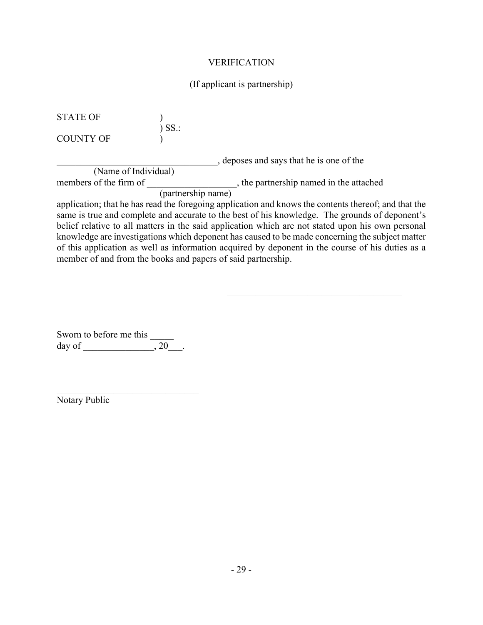### (If applicant is partnership)

STATE OF )  $\int$  SS.: COUNTY OF )

\_\_\_\_\_\_\_\_\_\_\_\_\_\_\_\_\_\_\_\_\_\_\_\_\_\_\_\_\_\_\_\_\_\_, deposes and says that he is one of the (Name of Individual) members of the firm of \_\_\_\_\_\_\_\_\_\_\_\_\_\_\_\_\_\_\_, the partnership named in the attached

(partnership name)

application; that he has read the foregoing application and knows the contents thereof; and that the same is true and complete and accurate to the best of his knowledge. The grounds of deponent's belief relative to all matters in the said application which are not stated upon his own personal knowledge are investigations which deponent has caused to be made concerning the subject matter of this application as well as information acquired by deponent in the course of his duties as a member of and from the books and papers of said partnership.

Sworn to before me this day of  $\qquad \qquad , 20 \qquad .$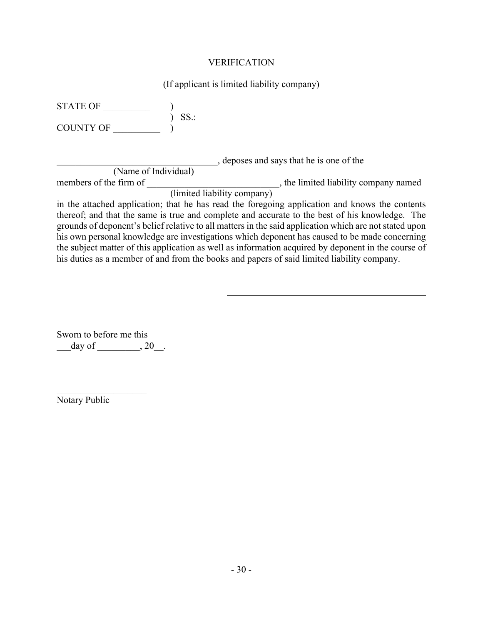(If applicant is limited liability company)

| STATE OF               |                             |                                                                                                        |  |
|------------------------|-----------------------------|--------------------------------------------------------------------------------------------------------|--|
| <b>COUNTY OF</b>       | $SS$ .:                     |                                                                                                        |  |
|                        |                             | , deposes and says that he is one of the                                                               |  |
| (Name of Individual)   |                             |                                                                                                        |  |
| members of the firm of |                             | , the limited liability company named                                                                  |  |
|                        | (limited liability company) |                                                                                                        |  |
|                        |                             | in the attached application; that he has read the foregoing application and knows the contents         |  |
|                        |                             | thereof; and that the same is true and complete and accurate to the best of his knowledge. The         |  |
|                        |                             | grounds of deponent's belief relative to all matters in the said application which are not stated upon |  |
|                        |                             | his own personal knowledge are investigations which deponent has caused to be made concerning          |  |
|                        |                             | the subject matter of this application as well as information acquired by deponent in the course of    |  |

his duties as a member of and from the books and papers of said limited liability company.

Sworn to before me this  $\frac{\text{day of}}{\text{day of}}$ .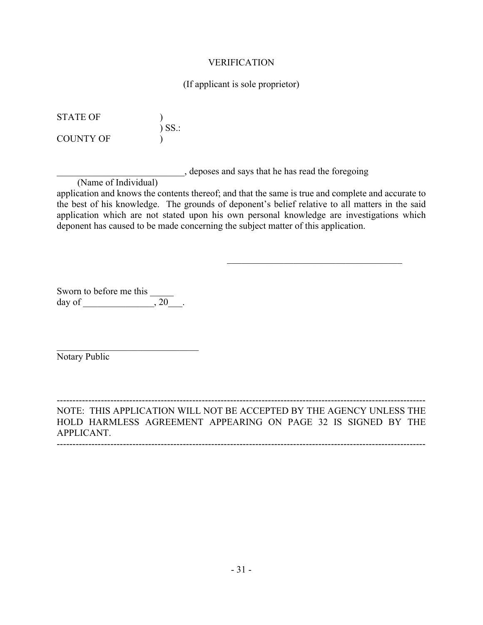#### (If applicant is sole proprietor)

STATE OF ) ) SS.: COUNTY OF  $\qquad$  )

\_\_\_\_\_\_\_\_\_\_\_\_\_\_\_\_\_\_\_\_\_\_\_\_\_\_\_, deposes and says that he has read the foregoing

(Name of Individual)

application and knows the contents thereof; and that the same is true and complete and accurate to the best of his knowledge. The grounds of deponent's belief relative to all matters in the said application which are not stated upon his own personal knowledge are investigations which deponent has caused to be made concerning the subject matter of this application.

Sworn to before me this day of  $\qquad \qquad .20$ .

Notary Public

--------------------------------------------------------------------------------------------------------------------- NOTE: THIS APPLICATION WILL NOT BE ACCEPTED BY THE AGENCY UNLESS THE HOLD HARMLESS AGREEMENT APPEARING ON PAGE 32 IS SIGNED BY THE APPLICANT.

---------------------------------------------------------------------------------------------------------------------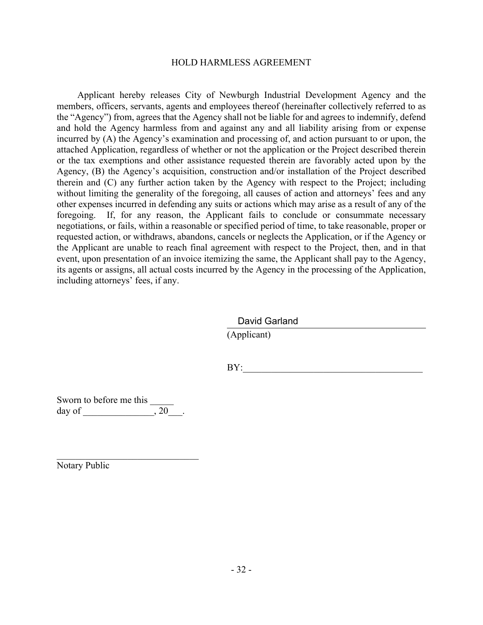#### HOLD HARMLESS AGREEMENT

Applicant hereby releases City of Newburgh Industrial Development Agency and the members, officers, servants, agents and employees thereof (hereinafter collectively referred to as the "Agency") from, agrees that the Agency shall not be liable for and agrees to indemnify, defend and hold the Agency harmless from and against any and all liability arising from or expense incurred by (A) the Agency's examination and processing of, and action pursuant to or upon, the attached Application, regardless of whether or not the application or the Project described therein or the tax exemptions and other assistance requested therein are favorably acted upon by the Agency, (B) the Agency's acquisition, construction and/or installation of the Project described therein and (C) any further action taken by the Agency with respect to the Project; including without limiting the generality of the foregoing, all causes of action and attorneys' fees and any other expenses incurred in defending any suits or actions which may arise as a result of any of the foregoing. If, for any reason, the Applicant fails to conclude or consummate necessary negotiations, or fails, within a reasonable or specified period of time, to take reasonable, proper or requested action, or withdraws, abandons, cancels or neglects the Application, or if the Agency or the Applicant are unable to reach final agreement with respect to the Project, then, and in that event, upon presentation of an invoice itemizing the same, the Applicant shall pay to the Agency, its agents or assigns, all actual costs incurred by the Agency in the processing of the Application, including attorneys' fees, if any.

David Garland

(Applicant)

BY:\_\_\_\_\_\_\_\_\_\_\_\_\_\_\_\_\_\_\_\_\_\_\_\_\_\_\_\_\_\_\_\_\_\_\_\_\_\_

Sworn to before me this day of  $\qquad \qquad .20$ .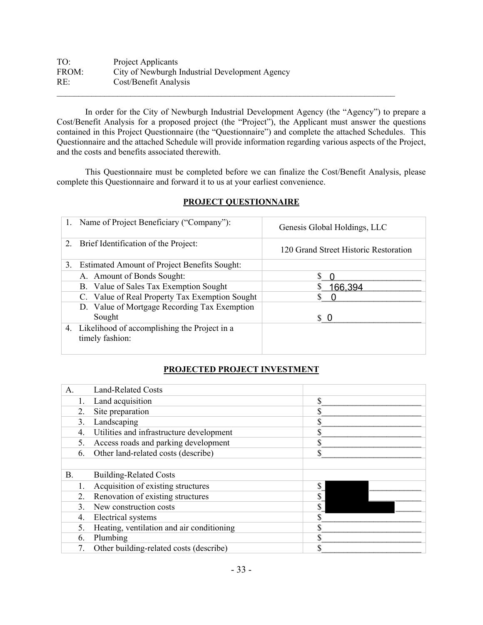| TO:   | Project Applicants                             |
|-------|------------------------------------------------|
| FROM: | City of Newburgh Industrial Development Agency |
| RE:   | Cost/Benefit Analysis                          |
|       |                                                |

In order for the City of Newburgh Industrial Development Agency (the "Agency") to prepare a Cost/Benefit Analysis for a proposed project (the "Project"), the Applicant must answer the questions contained in this Project Questionnaire (the "Questionnaire") and complete the attached Schedules. This Questionnaire and the attached Schedule will provide information regarding various aspects of the Project, and the costs and benefits associated therewith.

This Questionnaire must be completed before we can finalize the Cost/Benefit Analysis, please complete this Questionnaire and forward it to us at your earliest convenience.

|    | Name of Project Beneficiary ("Company"):                           | Genesis Global Holdings, LLC          |
|----|--------------------------------------------------------------------|---------------------------------------|
| 2. | Brief Identification of the Project:                               | 120 Grand Street Historic Restoration |
| 3. | <b>Estimated Amount of Project Benefits Sought:</b>                |                                       |
|    | A. Amount of Bonds Sought:                                         |                                       |
|    | B. Value of Sales Tax Exemption Sought                             | 166,394                               |
|    | C. Value of Real Property Tax Exemption Sought                     |                                       |
|    | D. Value of Mortgage Recording Tax Exemption                       |                                       |
|    | Sought                                                             | s o                                   |
|    | 4. Likelihood of accomplishing the Project in a<br>timely fashion: |                                       |

### **PROJECT QUESTIONNAIRE**

### **PROJECTED PROJECT INVESTMENT**

| A. | <b>Land-Related Costs</b>                 |    |
|----|-------------------------------------------|----|
|    | Land acquisition                          | \$ |
| 2. | Site preparation                          | J. |
| 3. | Landscaping                               |    |
| 4. | Utilities and infrastructure development  |    |
| 5. | Access roads and parking development      | J. |
| 6. | Other land-related costs (describe)       | \$ |
|    |                                           |    |
|    |                                           |    |
| Β. | <b>Building-Related Costs</b>             |    |
|    | Acquisition of existing structures        | \$ |
| 2. | Renovation of existing structures         | \$ |
| 3. | New construction costs                    |    |
| 4. | Electrical systems                        |    |
| 5. | Heating, ventilation and air conditioning |    |
| 6. | Plumbing                                  |    |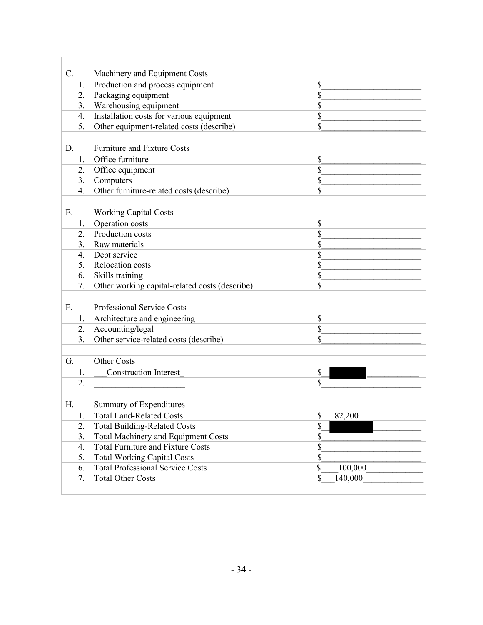| C. |    | Machinery and Equipment Costs                  |               |
|----|----|------------------------------------------------|---------------|
|    | 1. | Production and process equipment               | \$            |
|    | 2. | Packaging equipment                            | \$            |
|    | 3. | Warehousing equipment                          | \$            |
|    | 4. | Installation costs for various equipment       | \$            |
|    | 5. | Other equipment-related costs (describe)       | \$            |
|    |    |                                                |               |
| D. |    | <b>Furniture and Fixture Costs</b>             |               |
|    | 1. | Office furniture                               | \$            |
|    | 2. | Office equipment                               | \$            |
|    | 3. | Computers                                      | \$            |
|    | 4. | Other furniture-related costs (describe)       | \$            |
|    |    |                                                |               |
| Ε. |    | <b>Working Capital Costs</b>                   |               |
|    | 1. | Operation costs                                | \$            |
|    | 2. | Production costs                               | \$            |
|    | 3. | Raw materials                                  | \$            |
|    | 4. | Debt service                                   | \$            |
|    | 5. | Relocation costs                               | \$            |
|    | 6. | Skills training                                | \$            |
|    | 7. | Other working capital-related costs (describe) | \$            |
|    |    |                                                |               |
| F. |    | Professional Service Costs                     |               |
|    | 1. | Architecture and engineering                   | \$            |
|    | 2. | Accounting/legal                               | \$            |
|    | 3. | Other service-related costs (describe)         | \$            |
|    |    |                                                |               |
| G. |    | <b>Other Costs</b>                             |               |
|    | 1. | <b>Construction Interest</b>                   | \$            |
|    | 2. |                                                | \$            |
|    |    |                                                |               |
| Η. |    | Summary of Expenditures                        |               |
|    | 1. | <b>Total Land-Related Costs</b>                | \$<br>82,200  |
|    | 2. | <b>Total Building-Related Costs</b>            | \$            |
|    | 3. | <b>Total Machinery and Equipment Costs</b>     | \$            |
|    | 4. | <b>Total Furniture and Fixture Costs</b>       | \$            |
|    | 5. | <b>Total Working Capital Costs</b>             | \$            |
|    | 6. | <b>Total Professional Service Costs</b>        | \$<br>100,000 |
|    | 7. | <b>Total Other Costs</b>                       | \$<br>140,000 |
|    |    |                                                |               |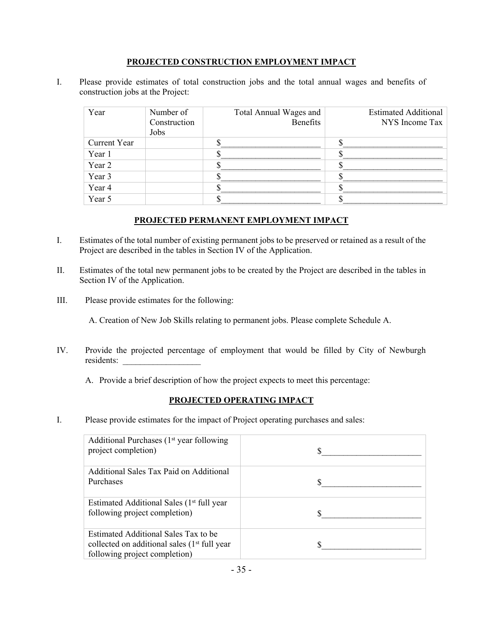#### **PROJECTED CONSTRUCTION EMPLOYMENT IMPACT**

I. Please provide estimates of total construction jobs and the total annual wages and benefits of construction jobs at the Project:

| Year                | Number of<br>Construction<br>Jobs | Total Annual Wages and<br>Benefits | <b>Estimated Additional</b><br>NYS Income Tax |
|---------------------|-----------------------------------|------------------------------------|-----------------------------------------------|
| <b>Current Year</b> |                                   |                                    |                                               |
| Year 1              |                                   |                                    |                                               |
| Year 2              |                                   |                                    |                                               |
| Year 3              |                                   |                                    |                                               |
| Year 4              |                                   |                                    |                                               |
| Year 5              |                                   |                                    |                                               |

#### **PROJECTED PERMANENT EMPLOYMENT IMPACT**

- I. Estimates of the total number of existing permanent jobs to be preserved or retained as a result of the Project are described in the tables in Section IV of the Application.
- II. Estimates of the total new permanent jobs to be created by the Project are described in the tables in Section IV of the Application.
- III. Please provide estimates for the following:

A. Creation of New Job Skills relating to permanent jobs. Please complete Schedule A.

- IV. Provide the projected percentage of employment that would be filled by City of Newburgh residents:
	- A. Provide a brief description of how the project expects to meet this percentage:

### **PROJECTED OPERATING IMPACT**

I. Please provide estimates for the impact of Project operating purchases and sales:

| Additional Purchases $(1st$ year following<br>project completion)                                                        |  |
|--------------------------------------------------------------------------------------------------------------------------|--|
| Additional Sales Tax Paid on Additional<br>Purchases                                                                     |  |
| Estimated Additional Sales (1 <sup>st</sup> full year<br>following project completion)                                   |  |
| Estimated Additional Sales Tax to be<br>collected on additional sales $(1st full year)$<br>following project completion) |  |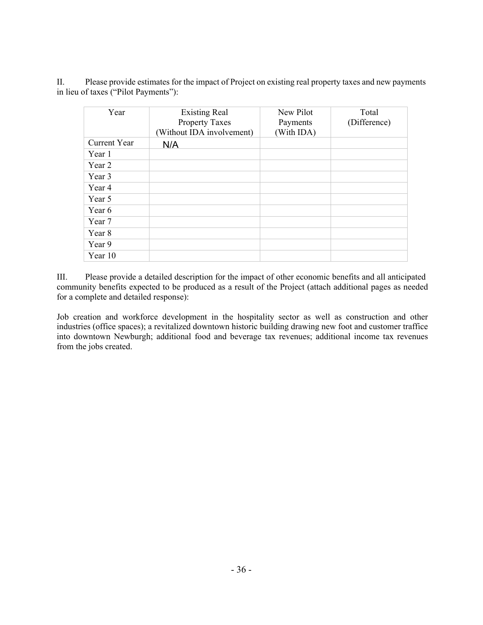II. Please provide estimates for the impact of Project on existing real property taxes and new payments in lieu of taxes ("Pilot Payments"):

| Year         | <b>Existing Real</b><br>Property Taxes<br>(Without IDA involvement) | New Pilot<br>Payments<br>(With IDA) | Total<br>(Difference) |
|--------------|---------------------------------------------------------------------|-------------------------------------|-----------------------|
| Current Year | N/A                                                                 |                                     |                       |
| Year 1       |                                                                     |                                     |                       |
| Year 2       |                                                                     |                                     |                       |
| Year 3       |                                                                     |                                     |                       |
| Year 4       |                                                                     |                                     |                       |
| Year 5       |                                                                     |                                     |                       |
| Year 6       |                                                                     |                                     |                       |
| Year 7       |                                                                     |                                     |                       |
| Year 8       |                                                                     |                                     |                       |
| Year 9       |                                                                     |                                     |                       |
| Year 10      |                                                                     |                                     |                       |

III. Please provide a detailed description for the impact of other economic benefits and all anticipated community benefits expected to be produced as a result of the Project (attach additional pages as needed for a complete and detailed response):

Job creation and workforce development in the hospitality sector as well as construction and other industries (office spaces); a revitalized downtown historic building drawing new foot and customer traffice into downtown Newburgh; additional food and beverage tax revenues; additional income tax revenues from the jobs created.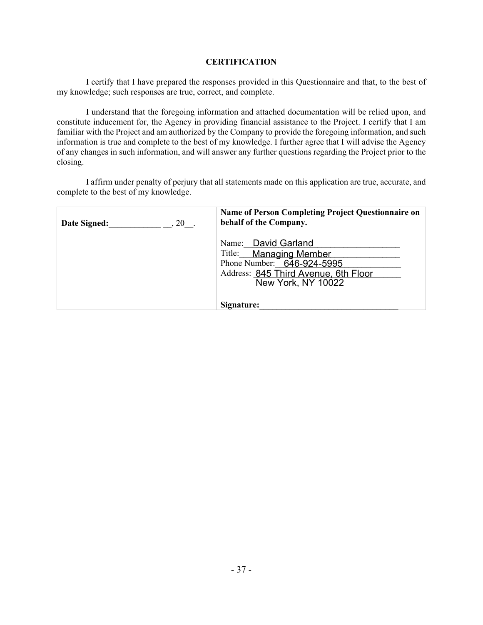#### **CERTIFICATION**

I certify that I have prepared the responses provided in this Questionnaire and that, to the best of my knowledge; such responses are true, correct, and complete.

I understand that the foregoing information and attached documentation will be relied upon, and constitute inducement for, the Agency in providing financial assistance to the Project. I certify that I am familiar with the Project and am authorized by the Company to provide the foregoing information, and such information is true and complete to the best of my knowledge. I further agree that I will advise the Agency of any changes in such information, and will answer any further questions regarding the Project prior to the closing.

I affirm under penalty of perjury that all statements made on this application are true, accurate, and complete to the best of my knowledge.

| Date Signed: | Name of Person Completing Project Questionnaire on                                                                                                      |
|--------------|---------------------------------------------------------------------------------------------------------------------------------------------------------|
| $, 20$ .     | behalf of the Company.                                                                                                                                  |
|              | Name: David Garland<br>Title: Managing Member<br>Phone Number: 646-924-5995<br>Address: 845 Third Avenue, 6th Floor<br>New York, NY 10022<br>Signature: |